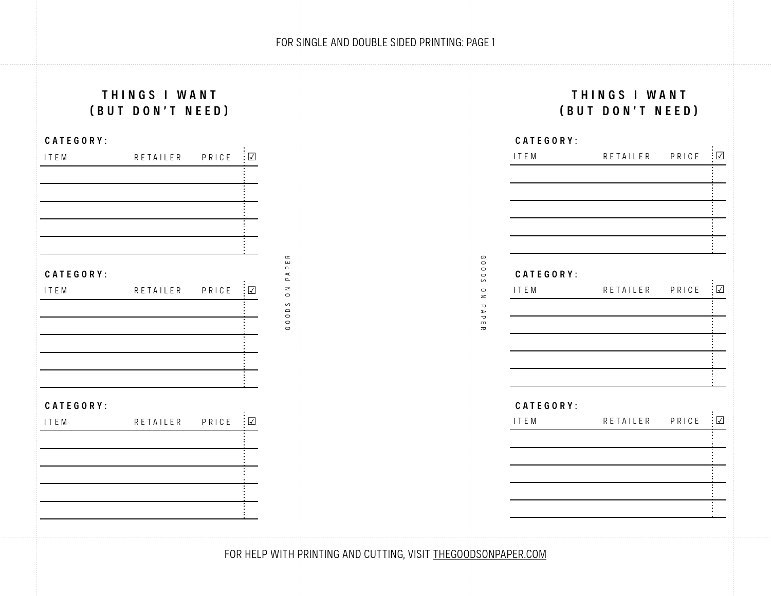## FOR SINGLE AND DOUBLE SIDED PRINTING: PAGE 1